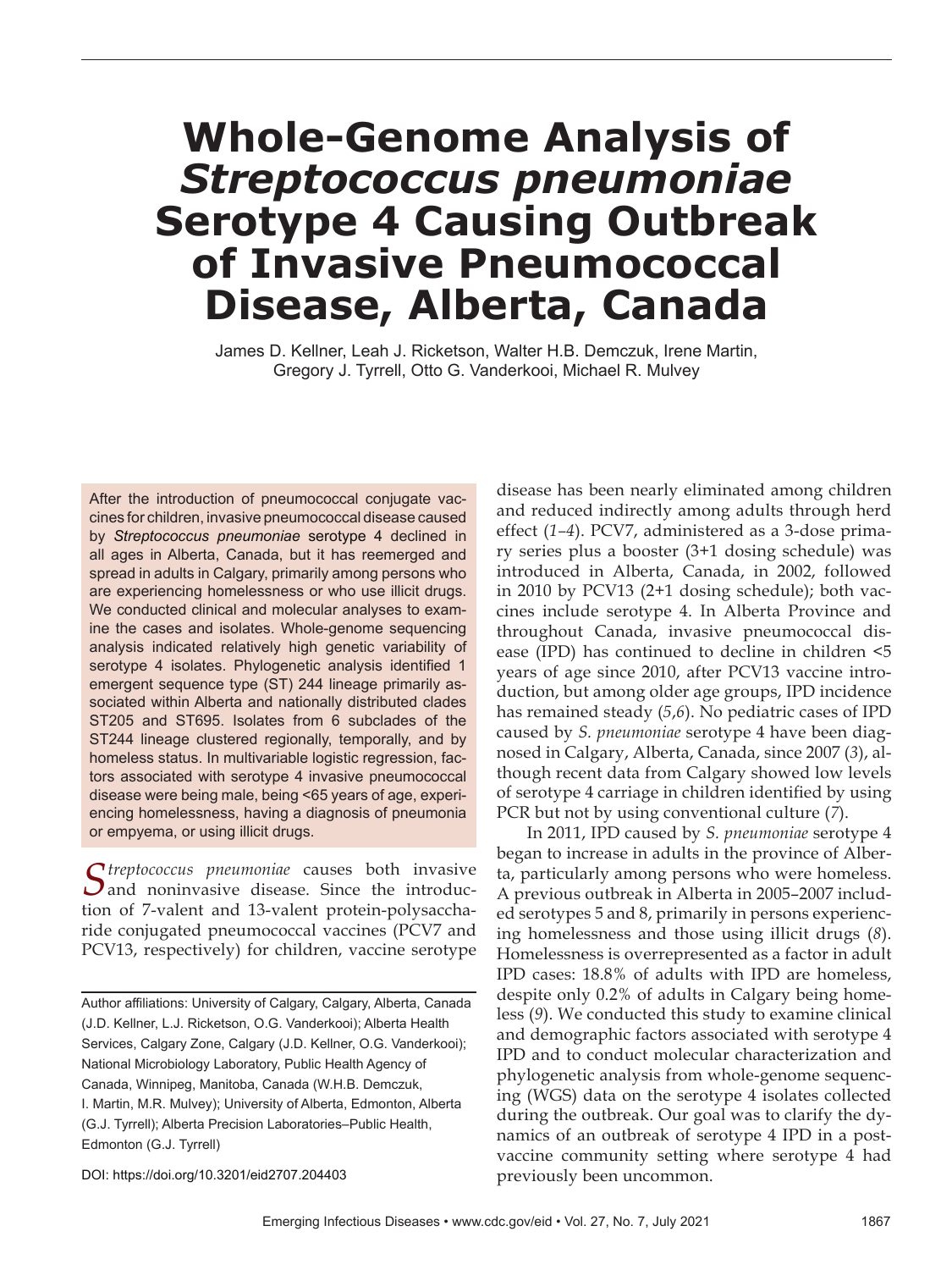# **Whole-Genome Analysis of**  *Streptococcus pneumoniae* **Serotype 4 Causing Outbreak of Invasive Pneumococcal Disease, Alberta, Canada**

James D. Kellner, Leah J. Ricketson, Walter H.B. Demczuk, Irene Martin, Gregory J. Tyrrell, Otto G. Vanderkooi, Michael R. Mulvey

After the introduction of pneumococcal conjugate vaccines for children, invasive pneumococcal disease caused by *Streptococcus pneumoniae* serotype 4 declined in all ages in Alberta, Canada, but it has reemerged and spread in adults in Calgary, primarily among persons who are experiencing homelessness or who use illicit drugs. We conducted clinical and molecular analyses to examine the cases and isolates. Whole-genome sequencing analysis indicated relatively high genetic variability of serotype 4 isolates. Phylogenetic analysis identified 1 emergent sequence type (ST) 244 lineage primarily associated within Alberta and nationally distributed clades ST205 and ST695. Isolates from 6 subclades of the ST244 lineage clustered regionally, temporally, and by homeless status. In multivariable logistic regression, factors associated with serotype 4 invasive pneumococcal disease were being male, being <65 years of age, experiencing homelessness, having a diagnosis of pneumonia or empyema, or using illicit drugs.

S*treptococcus pneumoniae* causes both invasive and noninvasive disease. Since the introduction of 7-valent and 13-valent protein-polysaccharide conjugated pneumococcal vaccines (PCV7 and PCV13, respectively) for children, vaccine serotype

DOI: https://doi.org/10.3201/eid2707.204403

disease has been nearly eliminated among children and reduced indirectly among adults through herd effect (*1–4*). PCV7, administered as a 3-dose primary series plus a booster (3+1 dosing schedule) was introduced in Alberta, Canada, in 2002, followed in 2010 by PCV13 (2+1 dosing schedule); both vaccines include serotype 4. In Alberta Province and throughout Canada, invasive pneumococcal disease (IPD) has continued to decline in children <5 years of age since 2010, after PCV13 vaccine introduction, but among older age groups, IPD incidence has remained steady (*5*,*6*). No pediatric cases of IPD caused by *S. pneumoniae* serotype 4 have been diagnosed in Calgary, Alberta, Canada, since 2007 (*3*), although recent data from Calgary showed low levels of serotype 4 carriage in children identified by using PCR but not by using conventional culture (*7*).

In 2011, IPD caused by *S. pneumoniae* serotype 4 began to increase in adults in the province of Alberta, particularly among persons who were homeless. A previous outbreak in Alberta in 2005–2007 included serotypes 5 and 8, primarily in persons experiencing homelessness and those using illicit drugs (*8*). Homelessness is overrepresented as a factor in adult IPD cases: 18.8% of adults with IPD are homeless, despite only 0.2% of adults in Calgary being homeless (*9*). We conducted this study to examine clinical and demographic factors associated with serotype 4 IPD and to conduct molecular characterization and phylogenetic analysis from whole-genome sequencing (WGS) data on the serotype 4 isolates collected during the outbreak. Our goal was to clarify the dynamics of an outbreak of serotype 4 IPD in a postvaccine community setting where serotype 4 had previously been uncommon.

Author affiliations: University of Calgary, Calgary, Alberta, Canada (J.D. Kellner, L.J. Ricketson, O.G. Vanderkooi); Alberta Health Services, Calgary Zone, Calgary (J.D. Kellner, O.G. Vanderkooi); National Microbiology Laboratory, Public Health Agency of Canada, Winnipeg, Manitoba, Canada (W.H.B. Demczuk, I. Martin, M.R. Mulvey); University of Alberta, Edmonton, Alberta (G.J. Tyrrell); Alberta Precision Laboratories-Public Health, Edmonton (G.J. Tyrrell)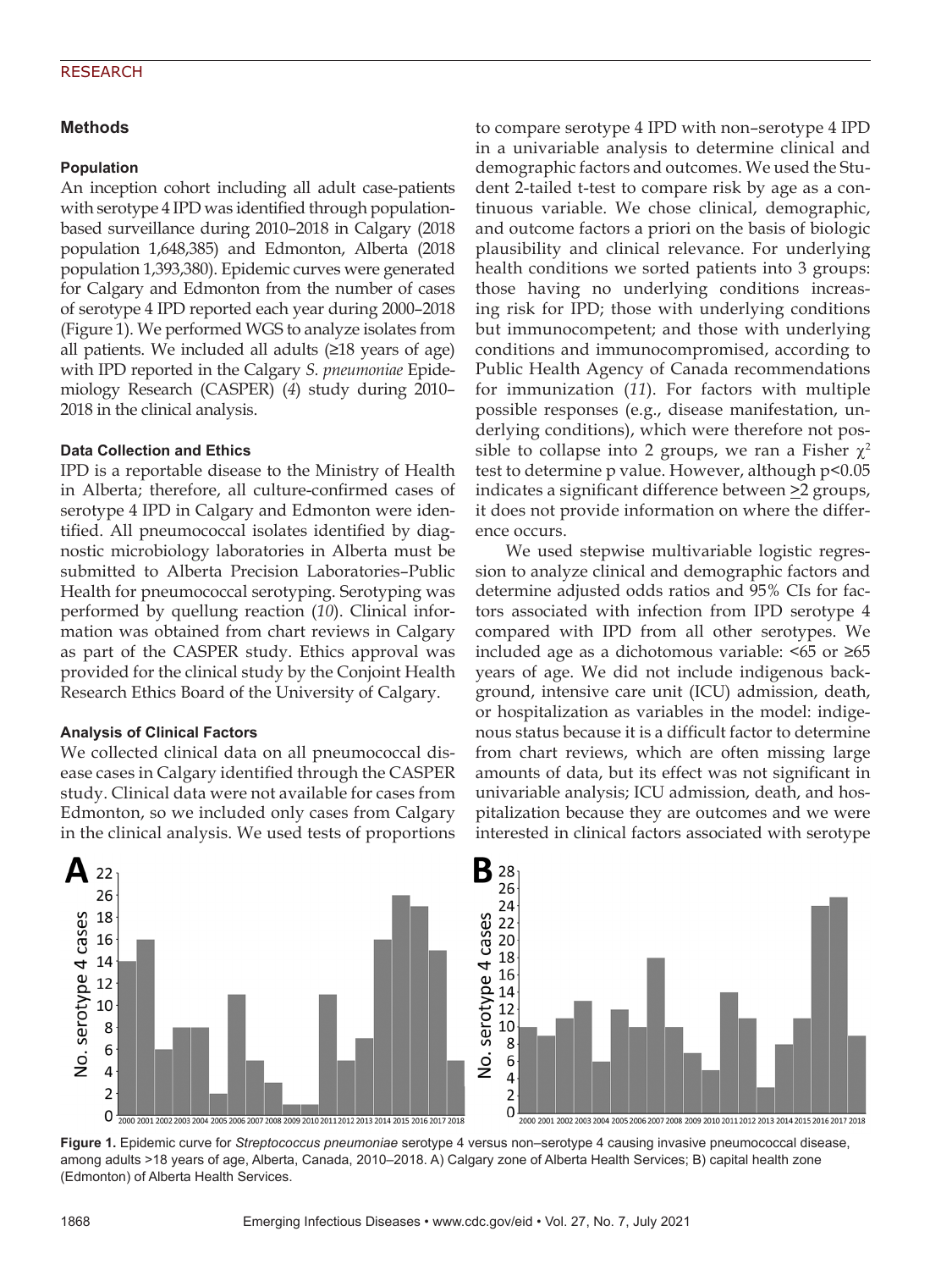# **Methods**

# **Population**

An inception cohort including all adult case-patients with serotype 4 IPD was identified through populationbased surveillance during 2010–2018 in Calgary (2018 population 1,648,385) and Edmonton, Alberta (2018 population 1,393,380). Epidemic curves were generated for Calgary and Edmonton from the number of cases of serotype 4 IPD reported each year during 2000–2018 (Figure 1). We performed WGS to analyze isolates from all patients. We included all adults  $(\geq 18$  years of age) with IPD reported in the Calgary *S. pneumoniae* Epidemiology Research (CASPER) (*4*) study during 2010– 2018 in the clinical analysis.

# **Data Collection and Ethics**

IPD is a reportable disease to the Ministry of Health in Alberta; therefore, all culture-confirmed cases of serotype 4 IPD in Calgary and Edmonton were identified. All pneumococcal isolates identified by diagnostic microbiology laboratories in Alberta must be submitted to Alberta Precision Laboratories–Public Health for pneumococcal serotyping. Serotyping was performed by quellung reaction (*10*). Clinical information was obtained from chart reviews in Calgary as part of the CASPER study. Ethics approval was provided for the clinical study by the Conjoint Health Research Ethics Board of the University of Calgary.

# **Analysis of Clinical Factors**

We collected clinical data on all pneumococcal disease cases in Calgary identified through the CASPER study. Clinical data were not available for cases from Edmonton, so we included only cases from Calgary in the clinical analysis. We used tests of proportions to compare serotype 4 IPD with non–serotype 4 IPD in a univariable analysis to determine clinical and demographic factors and outcomes. We used the Student 2-tailed t-test to compare risk by age as a continuous variable. We chose clinical, demographic, and outcome factors a priori on the basis of biologic plausibility and clinical relevance. For underlying health conditions we sorted patients into 3 groups: those having no underlying conditions increasing risk for IPD; those with underlying conditions but immunocompetent; and those with underlying conditions and immunocompromised, according to Public Health Agency of Canada recommendations for immunization (*11*). For factors with multiple possible responses (e.g., disease manifestation, underlying conditions), which were therefore not possible to collapse into 2 groups, we ran a Fisher  $\chi^2$ test to determine p value. However, although p<0.05 indicates a significant difference between  $\geq$ 2 groups, it does not provide information on where the difference occurs.

We used stepwise multivariable logistic regression to analyze clinical and demographic factors and determine adjusted odds ratios and 95% CIs for factors associated with infection from IPD serotype 4 compared with IPD from all other serotypes. We included age as a dichotomous variable: <65 or ≥65 years of age. We did not include indigenous background, intensive care unit (ICU) admission, death, or hospitalization as variables in the model: indigenous status because it is a difficult factor to determine from chart reviews, which are often missing large amounts of data, but its effect was not significant in univariable analysis; ICU admission, death, and hospitalization because they are outcomes and we were interested in clinical factors associated with serotype





**Figure 1.** Epidemic curve for *Streptococcus pneumoniae* serotype 4 versus non–serotype 4 causing invasive pneumococcal disease, among adults >18 years of age, Alberta, Canada, 2010–2018. A) Calgary zone of Alberta Health Services; B) capital health zone (Edmonton) of Alberta Health Services.

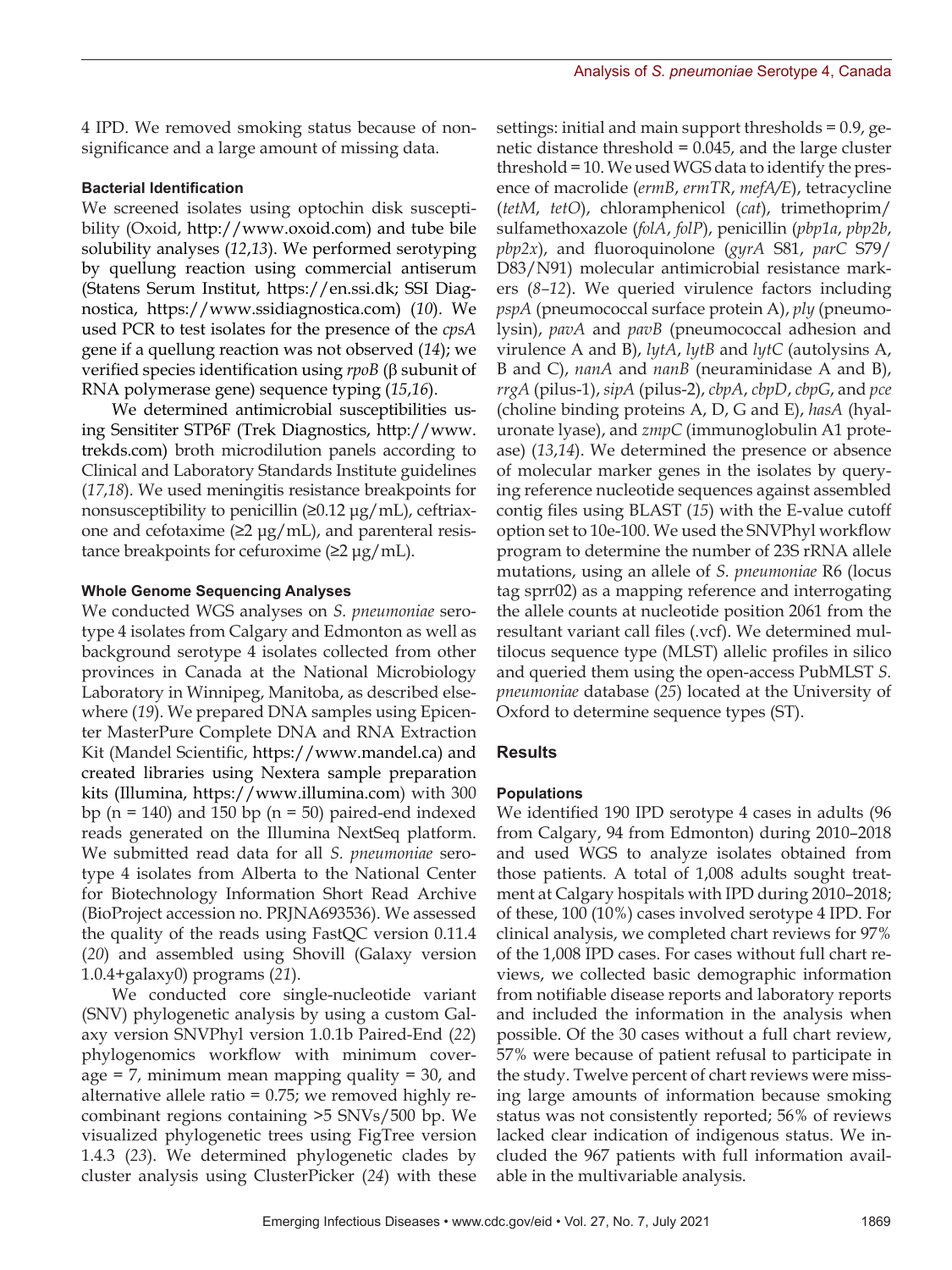4 IPD. We removed smoking status because of nonsignificance and a large amount of missing data.

### **Bacterial Identification**

We screened isolates using optochin disk susceptibility (Oxoid, http://www.oxoid.com) and tube bile solubility analyses (*12*,*13*). We performed serotyping by quellung reaction using commercial antiserum (Statens Serum Institut, https://en.ssi.dk; SSI Diagnostica, https://www.ssidiagnostica.com) (*10*). We used PCR to test isolates for the presence of the *cpsA* gene if a quellung reaction was not observed (*14*); we verified species identification using *rpoB* (β subunit of RNA polymerase gene) sequence typing (*15*,*16*).

We determined antimicrobial susceptibilities using Sensititer STP6F (Trek Diagnostics, http://www. trekds.com) broth microdilution panels according to Clinical and Laboratory Standards Institute guidelines (*17*,*18*). We used meningitis resistance breakpoints for nonsusceptibility to penicillin  $(≥0.12 \mu g/mL)$ , ceftriaxone and cefotaxime ( $\geq$ 2 µg/mL), and parenteral resistance breakpoints for cefuroxime  $(22 \mu g/mL)$ .

#### **Whole Genome Sequencing Analyses**

We conducted WGS analyses on *S. pneumoniae* serotype 4 isolates from Calgary and Edmonton as well as background serotype 4 isolates collected from other provinces in Canada at the National Microbiology Laboratory in Winnipeg, Manitoba, as described elsewhere (*19*). We prepared DNA samples using Epicenter MasterPure Complete DNA and RNA Extraction Kit (Mandel Scientific, https://www.mandel.ca) and created libraries using Nextera sample preparation kits (Illumina, https://www.illumina.com) with 300 bp ( $n = 140$ ) and 150 bp ( $n = 50$ ) paired-end indexed reads generated on the Illumina NextSeq platform. We submitted read data for all *S. pneumoniae* serotype 4 isolates from Alberta to the National Center for Biotechnology Information Short Read Archive (BioProject accession no. PRJNA693536). We assessed the quality of the reads using FastQC version 0.11.4 (*20*) and assembled using Shovill (Galaxy version 1.0.4+galaxy0) programs (*21*).

We conducted core single-nucleotide variant (SNV) phylogenetic analysis by using a custom Galaxy version SNVPhyl version 1.0.1b Paired-End (*22*) phylogenomics workflow with minimum coverage = 7, minimum mean mapping quality = 30, and alternative allele ratio = 0.75; we removed highly recombinant regions containing >5 SNVs/500 bp. We visualized phylogenetic trees using FigTree version 1.4.3 (*23*). We determined phylogenetic clades by cluster analysis using ClusterPicker (*24*) with these

settings: initial and main support thresholds = 0.9, genetic distance threshold = 0.045, and the large cluster threshold = 10. We used WGS data to identify the presence of macrolide (*ermB*, *ermTR*, *mefA/E*), tetracycline (*tetM*, *tetO*), chloramphenicol (*cat*), trimethoprim/ sulfamethoxazole (*folA*, *folP*), penicillin (*pbp1a*, *pbp2b*, *pbp2x*), and fluoroquinolone (*gyrA* S81, *parC* S79/ D83/N91) molecular antimicrobial resistance markers (*8–12*). We queried virulence factors including *pspA* (pneumococcal surface protein A), *ply* (pneumolysin), *pavA* and *pavB* (pneumococcal adhesion and virulence A and B), *lytA*, *lytB* and *lytC* (autolysins A, B and C), *nanA* and *nanB* (neuraminidase A and B), *rrgA* (pilus-1), *sipA* (pilus-2), *cbpA*, *cbpD*, *cbpG*, and *pce* (choline binding proteins A, D, G and E), *hasA* (hyaluronate lyase), and *zmpC* (immunoglobulin A1 protease) (*13*,*14*). We determined the presence or absence of molecular marker genes in the isolates by querying reference nucleotide sequences against assembled contig files using BLAST (*15*) with the E-value cutoff option set to 10e-100. We used the SNVPhyl workflow program to determine the number of 23S rRNA allele mutations, using an allele of *S. pneumoniae* R6 (locus tag sprr02) as a mapping reference and interrogating the allele counts at nucleotide position 2061 from the resultant variant call files (.vcf). We determined multilocus sequence type (MLST) allelic profiles in silico and queried them using the open-access PubMLST *S. pneumoniae* database (*25*) located at the University of Oxford to determine sequence types (ST).

# **Results**

# **Populations**

We identified 190 IPD serotype 4 cases in adults (96 from Calgary, 94 from Edmonton) during 2010–2018 and used WGS to analyze isolates obtained from those patients. A total of 1,008 adults sought treatment at Calgary hospitals with IPD during 2010–2018; of these, 100 (10%) cases involved serotype 4 IPD. For clinical analysis, we completed chart reviews for 97% of the 1,008 IPD cases. For cases without full chart reviews, we collected basic demographic information from notifiable disease reports and laboratory reports and included the information in the analysis when possible. Of the 30 cases without a full chart review, 57% were because of patient refusal to participate in the study. Twelve percent of chart reviews were missing large amounts of information because smoking status was not consistently reported; 56% of reviews lacked clear indication of indigenous status. We included the 967 patients with full information available in the multivariable analysis.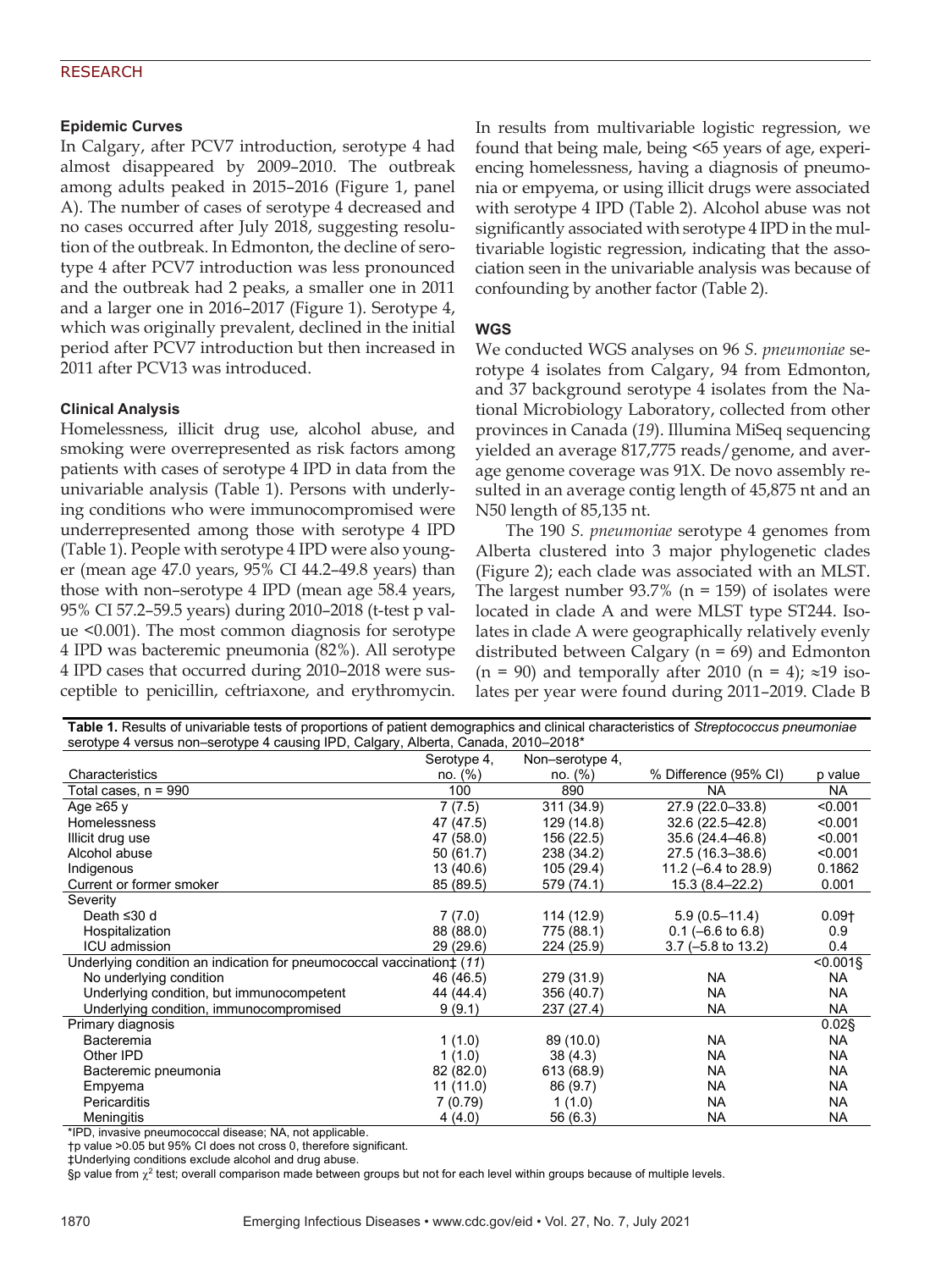# **Epidemic Curves**

In Calgary, after PCV7 introduction, serotype 4 had almost disappeared by 2009–2010. The outbreak among adults peaked in 2015–2016 (Figure 1, panel A). The number of cases of serotype 4 decreased and no cases occurred after July 2018, suggesting resolution of the outbreak. In Edmonton, the decline of serotype 4 after PCV7 introduction was less pronounced and the outbreak had 2 peaks, a smaller one in 2011 and a larger one in 2016–2017 (Figure 1). Serotype 4, which was originally prevalent, declined in the initial period after PCV7 introduction but then increased in 2011 after PCV13 was introduced.

# **Clinical Analysis**

Homelessness, illicit drug use, alcohol abuse, and smoking were overrepresented as risk factors among patients with cases of serotype 4 IPD in data from the univariable analysis (Table 1). Persons with underlying conditions who were immunocompromised were underrepresented among those with serotype 4 IPD (Table 1). People with serotype 4 IPD were also younger (mean age 47.0 years, 95% CI 44.2–49.8 years) than those with non–serotype 4 IPD (mean age 58.4 years, 95% CI 57.2–59.5 years) during 2010–2018 (t-test p value <0.001). The most common diagnosis for serotype 4 IPD was bacteremic pneumonia (82%). All serotype 4 IPD cases that occurred during 2010–2018 were susceptible to penicillin, ceftriaxone, and erythromycin.

In results from multivariable logistic regression, we found that being male, being <65 years of age, experiencing homelessness, having a diagnosis of pneumonia or empyema, or using illicit drugs were associated with serotype 4 IPD (Table 2). Alcohol abuse was not significantly associated with serotype 4 IPD in the multivariable logistic regression, indicating that the association seen in the univariable analysis was because of confounding by another factor (Table 2).

# **WGS**

We conducted WGS analyses on 96 *S. pneumoniae* serotype 4 isolates from Calgary, 94 from Edmonton, and 37 background serotype 4 isolates from the National Microbiology Laboratory, collected from other provinces in Canada (*19*). Illumina MiSeq sequencing yielded an average 817,775 reads/genome, and average genome coverage was 91X. De novo assembly resulted in an average contig length of 45,875 nt and an N50 length of 85,135 nt.

The 190 *S. pneumoniae* serotype 4 genomes from Alberta clustered into 3 major phylogenetic clades (Figure 2); each clade was associated with an MLST. The largest number  $93.7\%$  (n = 159) of isolates were located in clade A and were MLST type ST244. Isolates in clade A were geographically relatively evenly distributed between Calgary ( $n = 69$ ) and Edmonton  $(n = 90)$  and temporally after 2010  $(n = 4)$ ; ≈19 isolates per year were found during 2011–2019. Clade B

| <b>TWAIG</b> TO COULD OF UNIVERSIDED ROOD OF PROPORTIONS OF PURSITIC USING HIS OFFICER ORIGINAL ORDERS OF ORIGINAL PRODUCTION OF A DESCRIPTION OF A DISPOSSION OF PRODUCTION OF A DISPOSSION OF PRODUCTION OF A DISPOSSION OF A DIS<br>serotype 4 versus non-serotype 4 causing IPD, Calgary, Alberta, Canada, 2010-2018* |             |                 |                        |           |  |  |
|---------------------------------------------------------------------------------------------------------------------------------------------------------------------------------------------------------------------------------------------------------------------------------------------------------------------------|-------------|-----------------|------------------------|-----------|--|--|
|                                                                                                                                                                                                                                                                                                                           | Serotype 4, | Non-serotype 4, |                        |           |  |  |
| Characteristics                                                                                                                                                                                                                                                                                                           | no. (%)     | no. (%)         | % Difference (95% CI)  | p value   |  |  |
| Total cases, $n = 990$                                                                                                                                                                                                                                                                                                    | 100         | 890             | <b>NA</b>              | <b>NA</b> |  |  |
| Age $\geq 65$ y                                                                                                                                                                                                                                                                                                           | 7(7.5)      | 311 (34.9)      | $27.9(22.0-33.8)$      | < 0.001   |  |  |
| <b>Homelessness</b>                                                                                                                                                                                                                                                                                                       | 47 (47.5)   | 129 (14.8)      | $32.6(22.5 - 42.8)$    | < 0.001   |  |  |
| Illicit drug use                                                                                                                                                                                                                                                                                                          | 47 (58.0)   | 156 (22.5)      | $35.6(24.4 - 46.8)$    | < 0.001   |  |  |
| Alcohol abuse                                                                                                                                                                                                                                                                                                             | 50(61.7)    | 238 (34.2)      | 27.5 (16.3-38.6)       | < 0.001   |  |  |
| Indigenous                                                                                                                                                                                                                                                                                                                | 13 (40.6)   | 105(29.4)       | 11.2 ( $-6.4$ to 28.9) | 0.1862    |  |  |
| Current or former smoker                                                                                                                                                                                                                                                                                                  | 85 (89.5)   | 579 (74.1)      | 15.3 (8.4–22.2)        | 0.001     |  |  |
| Severity                                                                                                                                                                                                                                                                                                                  |             |                 |                        |           |  |  |
| Death ≤30 d                                                                                                                                                                                                                                                                                                               | 7(7.0)      | 114 (12.9)      | $5.9(0.5 - 11.4)$      | $0.09+$   |  |  |
| Hospitalization                                                                                                                                                                                                                                                                                                           | 88 (88.0)   | 775 (88.1)      | $0.1$ (-6.6 to 6.8)    | 0.9       |  |  |
| ICU admission                                                                                                                                                                                                                                                                                                             | 29 (29.6)   | 224 (25.9)      | $3.7$ (-5.8 to 13.2)   | 0.4       |  |  |
| $< 0.001$ §<br>Underlying condition an indication for pneumococcal vaccination $\uparrow$ (11)                                                                                                                                                                                                                            |             |                 |                        |           |  |  |
| No underlying condition                                                                                                                                                                                                                                                                                                   | 46 (46.5)   | 279 (31.9)      | <b>NA</b>              | <b>NA</b> |  |  |
| Underlying condition, but immunocompetent                                                                                                                                                                                                                                                                                 | 44 (44.4)   | 356 (40.7)      | <b>NA</b>              | <b>NA</b> |  |  |
| Underlying condition, immunocompromised                                                                                                                                                                                                                                                                                   | 9(9.1)      | 237 (27.4)      | NA                     | <b>NA</b> |  |  |
| Primary diagnosis                                                                                                                                                                                                                                                                                                         |             |                 |                        | $0.02$ §  |  |  |
| <b>Bacteremia</b>                                                                                                                                                                                                                                                                                                         | 1(1.0)      | 89 (10.0)       | NA.                    | <b>NA</b> |  |  |
| Other IPD                                                                                                                                                                                                                                                                                                                 | 1(1.0)      | 38(4.3)         | NA                     | <b>NA</b> |  |  |
| Bacteremic pneumonia                                                                                                                                                                                                                                                                                                      | 82 (82.0)   | 613 (68.9)      | NA                     | <b>NA</b> |  |  |
| Empyema                                                                                                                                                                                                                                                                                                                   | 11(11.0)    | 86 (9.7)        | NA                     | <b>NA</b> |  |  |
| Pericarditis                                                                                                                                                                                                                                                                                                              | 7 (0.79)    | 1(1.0)          | NA                     | <b>NA</b> |  |  |
| Meningitis                                                                                                                                                                                                                                                                                                                | 4(4.0)      | 56 (6.3)        | NA                     | NA        |  |  |

**Table 1.** Results of univariable tests of proportions of patient demographics and clinical characteristics of *Streptococcus pneumoniae*

\*IPD, invasive pneumococcal disease; NA, not applicable.

†p value >0.05 but 95% CI does not cross 0, therefore significant. ‡Underlying conditions exclude alcohol and drug abuse.

§p value from  $\chi^2$  test; overall comparison made between groups but not for each level within groups because of multiple levels.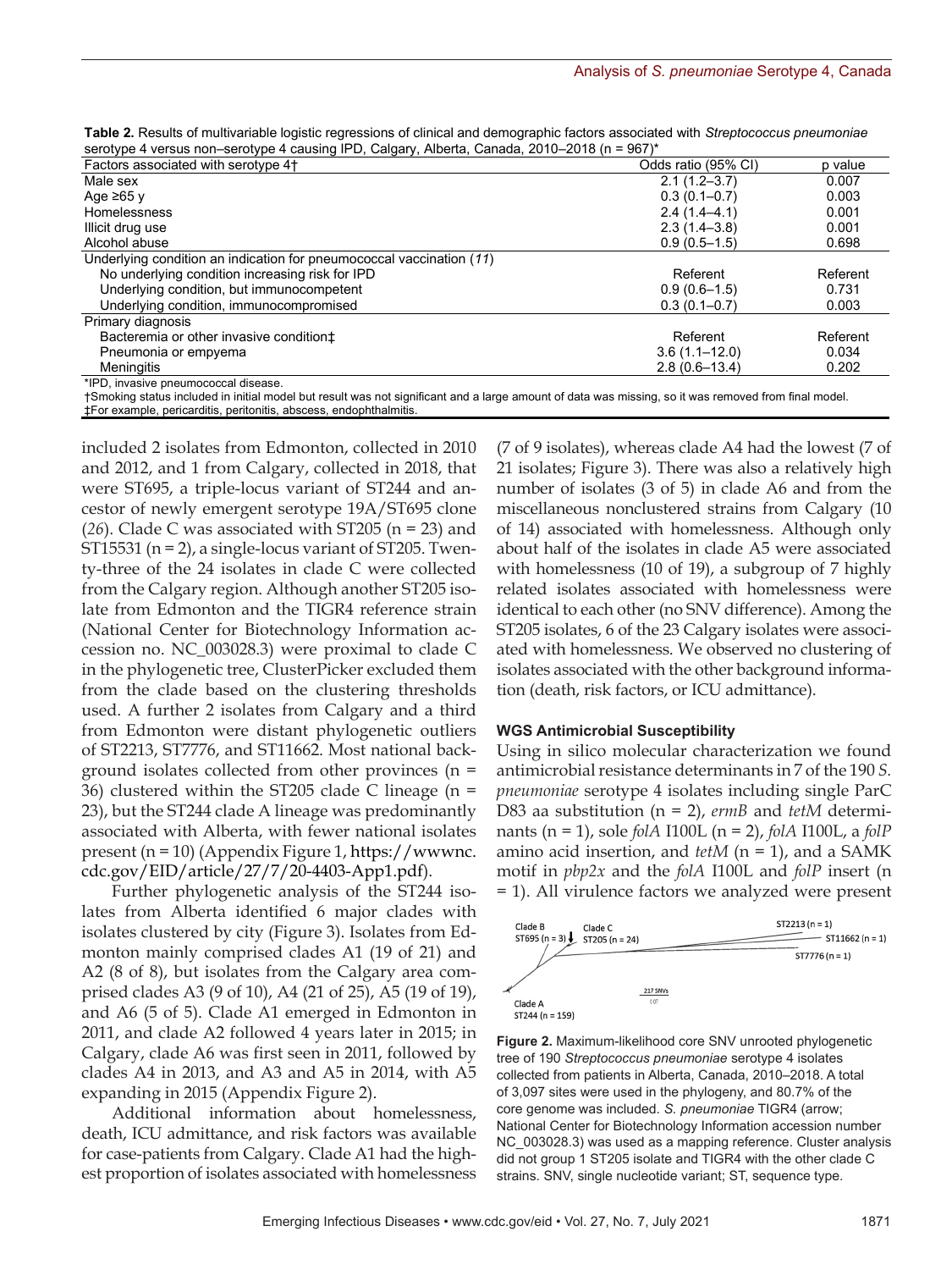| Table 2. Results of multivariable logistic regressions of clinical and demographic factors associated with Streptococcus pneumoniae |  |
|-------------------------------------------------------------------------------------------------------------------------------------|--|
| serotype 4 versus non-serotype 4 causing IPD, Calgary, Alberta, Canada, 2010-2018 (n = 967)*                                        |  |

| 3010type + versus non-serotype + causing in D, Caigary, Alberta, Canada, 2010-2010 (11 - 307) |                     |          |
|-----------------------------------------------------------------------------------------------|---------------------|----------|
| Factors associated with serotype 4+                                                           | Odds ratio (95% CI) | p value  |
| Male sex                                                                                      | $2.1(1.2 - 3.7)$    | 0.007    |
| Age $\geq 65$ y                                                                               | $0.3(0.1 - 0.7)$    | 0.003    |
| <b>Homelessness</b>                                                                           | $2.4(1.4-4.1)$      | 0.001    |
| Illicit drug use                                                                              | $2.3(1.4-3.8)$      | 0.001    |
| Alcohol abuse                                                                                 | $0.9(0.5-1.5)$      | 0.698    |
| Underlying condition an indication for pneumococcal vaccination (11)                          |                     |          |
| No underlying condition increasing risk for IPD                                               | Referent            | Referent |
| Underlying condition, but immunocompetent                                                     | $0.9(0.6-1.5)$      | 0.731    |
| Underlying condition, immunocompromised                                                       | $0.3(0.1 - 0.7)$    | 0.003    |
| Primary diagnosis                                                                             |                     |          |
| Bacteremia or other invasive condition <sup>+</sup>                                           | Referent            | Referent |
| Pneumonia or empyema                                                                          | $3.6(1.1 - 12.0)$   | 0.034    |
| Meningitis                                                                                    | $2.8(0.6 - 13.4)$   | 0.202    |
| *IPD, invasive pneumococcal disease.                                                          |                     |          |

†Smoking status included in initial model but result was not significant and a large amount of data was missing, so it was removed from final model. ‡For example, pericarditis, peritonitis, abscess, endophthalmitis.

included 2 isolates from Edmonton, collected in 2010 and 2012, and 1 from Calgary, collected in 2018, that were ST695, a triple-locus variant of ST244 and ancestor of newly emergent serotype 19A/ST695 clone (*26*). Clade C was associated with ST205 (n = 23) and ST15531 ( $n = 2$ ), a single-locus variant of ST205. Twenty-three of the 24 isolates in clade C were collected from the Calgary region. Although another ST205 isolate from Edmonton and the TIGR4 reference strain (National Center for Biotechnology Information accession no. NC\_003028.3) were proximal to clade C in the phylogenetic tree, ClusterPicker excluded them from the clade based on the clustering thresholds used. A further 2 isolates from Calgary and a third from Edmonton were distant phylogenetic outliers of ST2213, ST7776, and ST11662. Most national background isolates collected from other provinces (n = 36) clustered within the ST205 clade C lineage (n = 23), but the ST244 clade A lineage was predominantly associated with Alberta, with fewer national isolates present (n = 10) (Appendix Figure 1, https://wwwnc. cdc.gov/EID/article/27/7/20-4403-App1.pdf).

Further phylogenetic analysis of the ST244 isolates from Alberta identified 6 major clades with isolates clustered by city (Figure 3). Isolates from Edmonton mainly comprised clades A1 (19 of 21) and A2 (8 of 8), but isolates from the Calgary area comprised clades A3 (9 of 10), A4 (21 of 25), A5 (19 of 19), and A6 (5 of 5). Clade A1 emerged in Edmonton in 2011, and clade A2 followed 4 years later in 2015; in Calgary, clade A6 was first seen in 2011, followed by clades A4 in 2013, and A3 and A5 in 2014, with A5 expanding in 2015 (Appendix Figure 2).

Additional information about homelessness, death, ICU admittance, and risk factors was available for case-patients from Calgary. Clade A1 had the highest proportion of isolates associated with homelessness

(7 of 9 isolates), whereas clade A4 had the lowest (7 of 21 isolates; Figure 3). There was also a relatively high number of isolates (3 of 5) in clade A6 and from the miscellaneous nonclustered strains from Calgary (10 of 14) associated with homelessness. Although only about half of the isolates in clade A5 were associated with homelessness (10 of 19), a subgroup of 7 highly related isolates associated with homelessness were identical to each other (no SNV difference). Among the ST205 isolates, 6 of the 23 Calgary isolates were associated with homelessness. We observed no clustering of isolates associated with the other background information (death, risk factors, or ICU admittance).

#### **WGS Antimicrobial Susceptibility**

Using in silico molecular characterization we found antimicrobial resistance determinants in 7 of the 190 *S. pneumoniae* serotype 4 isolates including single ParC D83 aa substitution (n = 2), *ermB* and *tetM* determinants (n = 1), sole *folA* I100L (n = 2), *folA* I100L, a *folP* amino acid insertion, and *tetM* (n = 1), and a SAMK motif in *pbp2x* and the *folA* I100L and *folP* insert (n = 1). All virulence factors we analyzed were present



**Figure 2.** Maximum-likelihood core SNV unrooted phylogenetic tree of 190 *Streptococcus pneumoniae* serotype 4 isolates collected from patients in Alberta, Canada, 2010–2018. A total of 3,097 sites were used in the phylogeny, and 80.7% of the core genome was included. *S. pneumoniae* TIGR4 (arrow; National Center for Biotechnology Information accession number NC 003028.3) was used as a mapping reference. Cluster analysis did not group 1 ST205 isolate and TIGR4 with the other clade C strains. SNV, single nucleotide variant; ST, sequence type.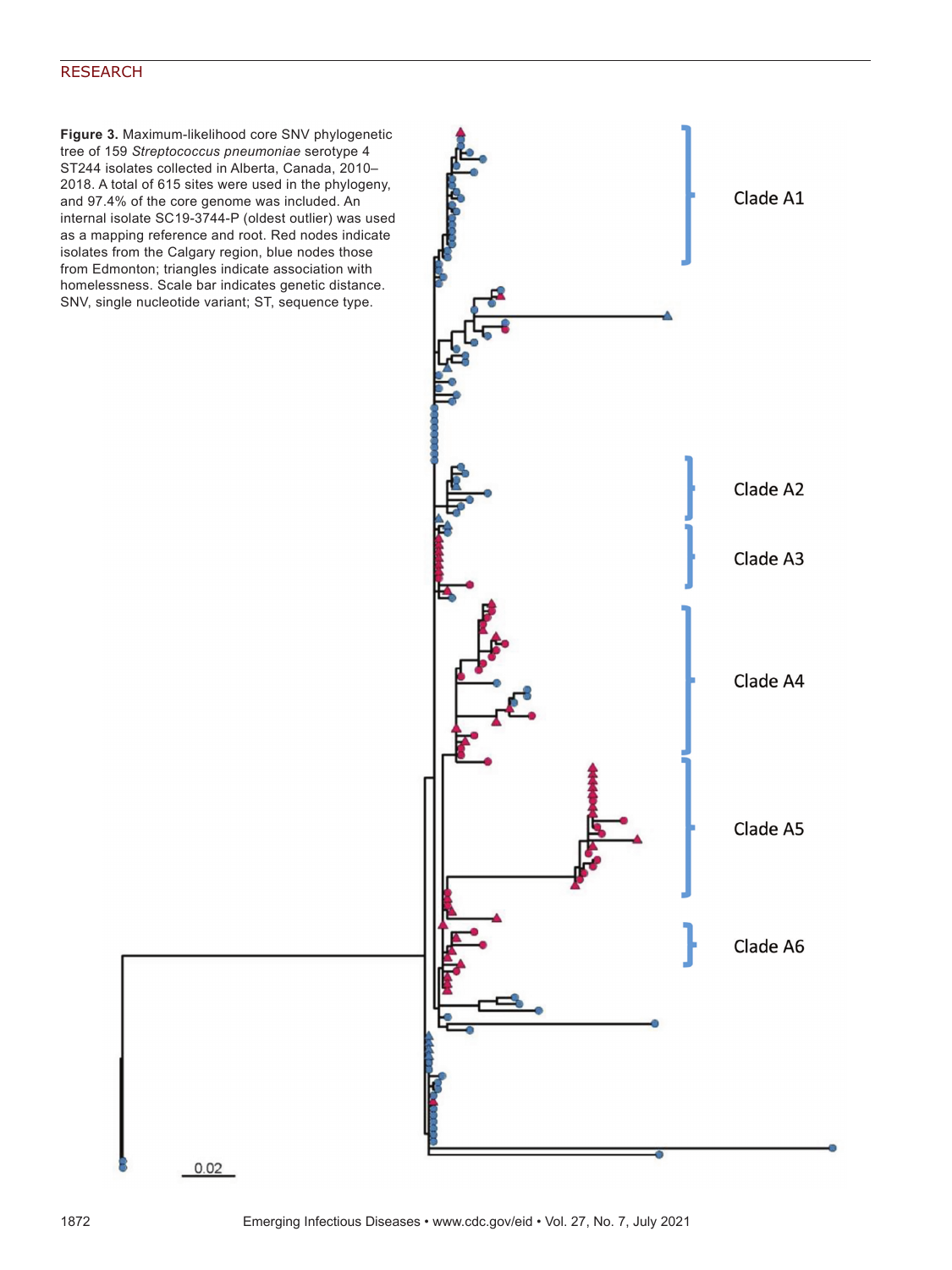**Figure 3.** Maximum-likelihood core SNV phylogenetic tree of 159 *Streptococcus pneumoniae* serotype 4 ST244 isolates collected in Alberta, Canada, 2010– 2018. A total of 615 sites were used in the phylogeny, and 97.4% of the core genome was included. An internal isolate SC19-3744-P (oldest outlier) was used as a mapping reference and root. Red nodes indicate isolates from the Calgary region, blue nodes those from Edmonton; triangles indicate association with homelessness. Scale bar indicates genetic distance. SNV, single nucleotide variant; ST, sequence type.



 $0.02$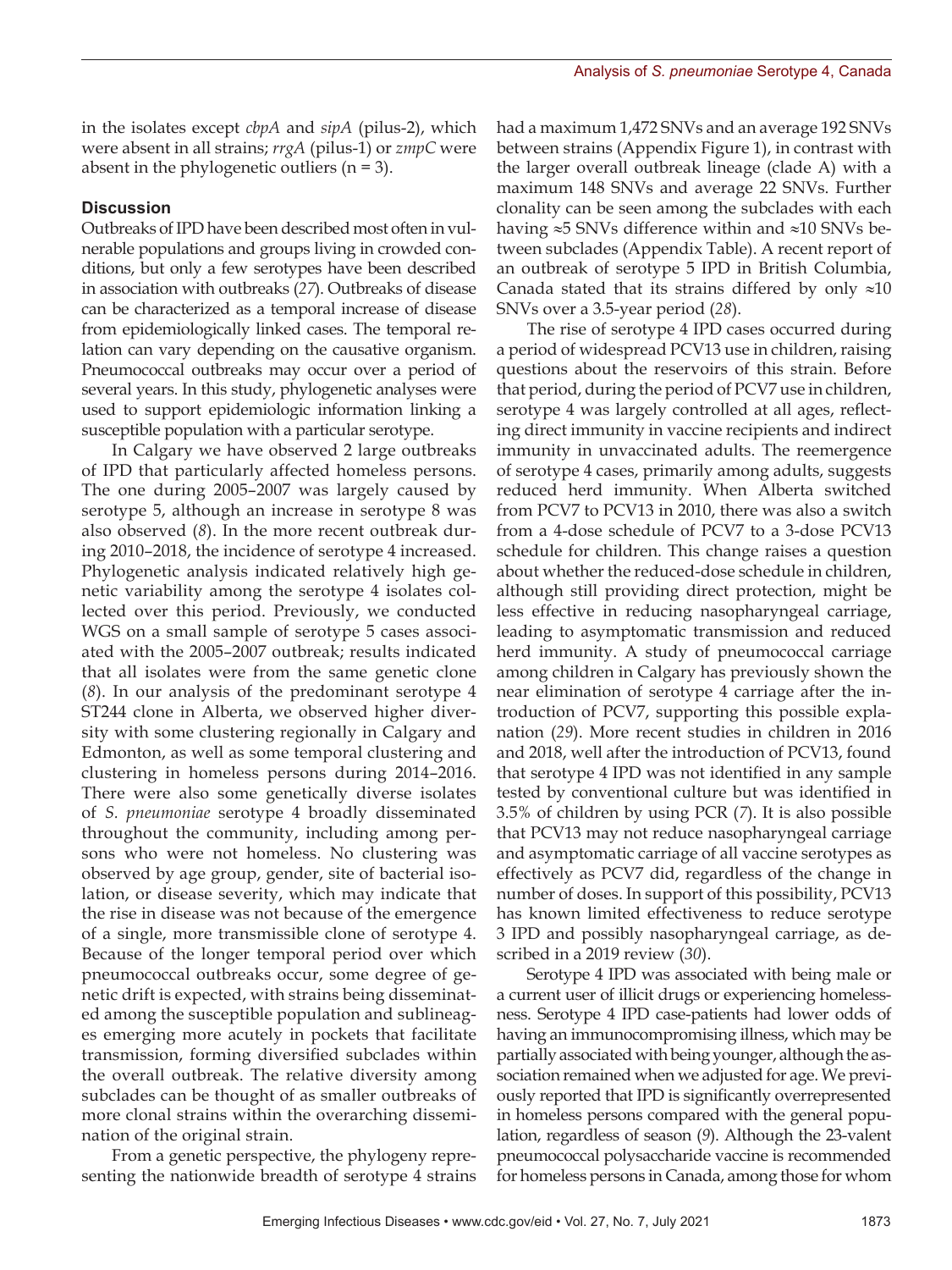in the isolates except *cbpA* and *sipA* (pilus-2), which were absent in all strains; *rrgA* (pilus-1) or *zmpC* were absent in the phylogenetic outliers  $(n = 3)$ .

### **Discussion**

Outbreaks of IPD have been described most often in vulnerable populations and groups living in crowded conditions, but only a few serotypes have been described in association with outbreaks (*27*). Outbreaks of disease can be characterized as a temporal increase of disease from epidemiologically linked cases. The temporal relation can vary depending on the causative organism. Pneumococcal outbreaks may occur over a period of several years. In this study, phylogenetic analyses were used to support epidemiologic information linking a susceptible population with a particular serotype.

In Calgary we have observed 2 large outbreaks of IPD that particularly affected homeless persons. The one during 2005–2007 was largely caused by serotype 5, although an increase in serotype 8 was also observed (*8*). In the more recent outbreak during 2010–2018, the incidence of serotype 4 increased. Phylogenetic analysis indicated relatively high genetic variability among the serotype 4 isolates collected over this period. Previously, we conducted WGS on a small sample of serotype 5 cases associated with the 2005–2007 outbreak; results indicated that all isolates were from the same genetic clone (*8*). In our analysis of the predominant serotype 4 ST244 clone in Alberta, we observed higher diversity with some clustering regionally in Calgary and Edmonton, as well as some temporal clustering and clustering in homeless persons during 2014–2016. There were also some genetically diverse isolates of *S. pneumoniae* serotype 4 broadly disseminated throughout the community, including among persons who were not homeless. No clustering was observed by age group, gender, site of bacterial isolation, or disease severity, which may indicate that the rise in disease was not because of the emergence of a single, more transmissible clone of serotype 4. Because of the longer temporal period over which pneumococcal outbreaks occur, some degree of genetic drift is expected, with strains being disseminated among the susceptible population and sublineages emerging more acutely in pockets that facilitate transmission, forming diversified subclades within the overall outbreak. The relative diversity among subclades can be thought of as smaller outbreaks of more clonal strains within the overarching dissemination of the original strain.

From a genetic perspective, the phylogeny representing the nationwide breadth of serotype 4 strains had a maximum 1,472 SNVs and an average 192 SNVs between strains (Appendix Figure 1), in contrast with the larger overall outbreak lineage (clade A) with a maximum 148 SNVs and average 22 SNVs. Further clonality can be seen among the subclades with each having ≈5 SNVs difference within and ≈10 SNVs between subclades (Appendix Table). A recent report of an outbreak of serotype 5 IPD in British Columbia, Canada stated that its strains differed by only  $\approx 10$ SNVs over a 3.5-year period (*28*).

The rise of serotype 4 IPD cases occurred during a period of widespread PCV13 use in children, raising questions about the reservoirs of this strain. Before that period, during the period of PCV7 use in children, serotype 4 was largely controlled at all ages, reflecting direct immunity in vaccine recipients and indirect immunity in unvaccinated adults. The reemergence of serotype 4 cases, primarily among adults, suggests reduced herd immunity. When Alberta switched from PCV7 to PCV13 in 2010, there was also a switch from a 4-dose schedule of PCV7 to a 3-dose PCV13 schedule for children. This change raises a question about whether the reduced-dose schedule in children, although still providing direct protection, might be less effective in reducing nasopharyngeal carriage, leading to asymptomatic transmission and reduced herd immunity. A study of pneumococcal carriage among children in Calgary has previously shown the near elimination of serotype 4 carriage after the introduction of PCV7, supporting this possible explanation (*29*). More recent studies in children in 2016 and 2018, well after the introduction of PCV13, found that serotype 4 IPD was not identified in any sample tested by conventional culture but was identified in 3.5% of children by using PCR (*7*). It is also possible that PCV13 may not reduce nasopharyngeal carriage and asymptomatic carriage of all vaccine serotypes as effectively as PCV7 did, regardless of the change in number of doses. In support of this possibility, PCV13 has known limited effectiveness to reduce serotype 3 IPD and possibly nasopharyngeal carriage, as described in a 2019 review (*30*).

Serotype 4 IPD was associated with being male or a current user of illicit drugs or experiencing homelessness. Serotype 4 IPD case-patients had lower odds of having an immunocompromising illness, which may be partially associated with being younger, although the association remained when we adjusted for age. We previously reported that IPD is significantly overrepresented in homeless persons compared with the general population, regardless of season (*9*). Although the 23-valent pneumococcal polysaccharide vaccine is recommended for homeless persons in Canada, among those for whom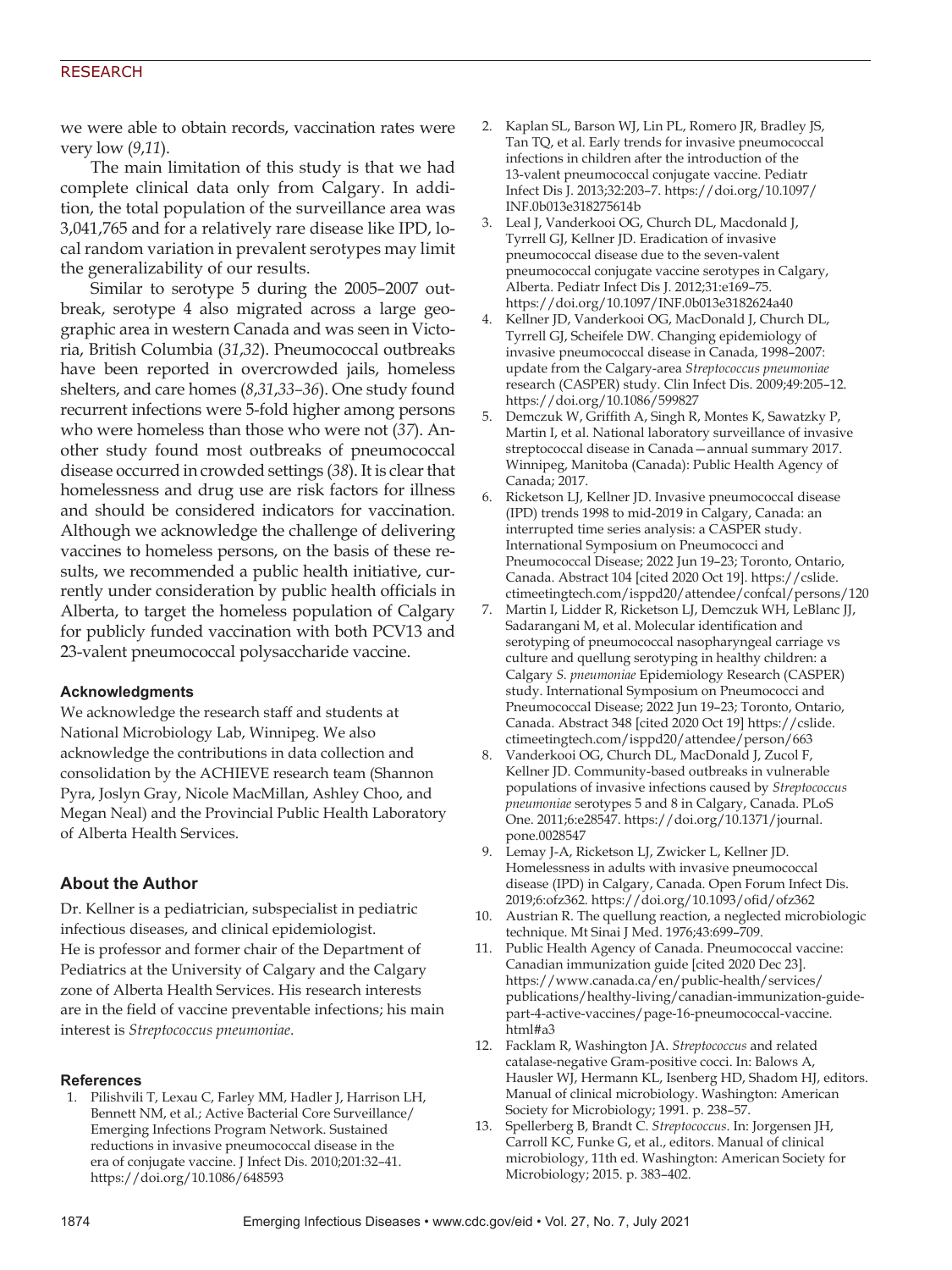we were able to obtain records, vaccination rates were very low (*9*,*11*).

The main limitation of this study is that we had complete clinical data only from Calgary. In addition, the total population of the surveillance area was 3,041,765 and for a relatively rare disease like IPD, local random variation in prevalent serotypes may limit the generalizability of our results.

Similar to serotype 5 during the 2005–2007 outbreak, serotype 4 also migrated across a large geographic area in western Canada and was seen in Victoria, British Columbia (*31*,*32*). Pneumococcal outbreaks have been reported in overcrowded jails, homeless shelters, and care homes (*8*,*31*,*33–36*). One study found recurrent infections were 5-fold higher among persons who were homeless than those who were not (*37*). Another study found most outbreaks of pneumococcal disease occurred in crowded settings (*38*). It is clear that homelessness and drug use are risk factors for illness and should be considered indicators for vaccination. Although we acknowledge the challenge of delivering vaccines to homeless persons, on the basis of these results, we recommended a public health initiative, currently under consideration by public health officials in Alberta, to target the homeless population of Calgary for publicly funded vaccination with both PCV13 and 23-valent pneumococcal polysaccharide vaccine.

#### **Acknowledgments**

We acknowledge the research staff and students at National Microbiology Lab, Winnipeg. We also acknowledge the contributions in data collection and consolidation by the ACHIEVE research team (Shannon Pyra, Joslyn Gray, Nicole MacMillan, Ashley Choo, and Megan Neal) and the Provincial Public Health Laboratory of Alberta Health Services.

# **About the Author**

Dr. Kellner is a pediatrician, subspecialist in pediatric infectious diseases, and clinical epidemiologist. He is professor and former chair of the Department of Pediatrics at the University of Calgary and the Calgary zone of Alberta Health Services. His research interests are in the field of vaccine preventable infections; his main interest is *Streptococcus pneumoniae*.

#### **References**

 1. Pilishvili T, Lexau C, Farley MM, Hadler J, Harrison LH, Bennett NM, et al.; Active Bacterial Core Surveillance/ Emerging Infections Program Network. Sustained reductions in invasive pneumococcal disease in the era of conjugate vaccine. J Infect Dis. 2010;201:32–41. https://doi.org/10.1086/648593

- 2. Kaplan SL, Barson WJ, Lin PL, Romero JR, Bradley JS, Tan TQ, et al. Early trends for invasive pneumococcal infections in children after the introduction of the 13-valent pneumococcal conjugate vaccine. Pediatr Infect Dis J. 2013;32:203–7. https://doi.org/10.1097/ INF.0b013e318275614b
- 3. Leal J, Vanderkooi OG, Church DL, Macdonald J, Tyrrell GJ, Kellner JD. Eradication of invasive pneumococcal disease due to the seven-valent pneumococcal conjugate vaccine serotypes in Calgary, Alberta. Pediatr Infect Dis J. 2012;31:e169–75. https://doi.org/10.1097/INF.0b013e3182624a40
- 4. Kellner JD, Vanderkooi OG, MacDonald J, Church DL, Tyrrell GJ, Scheifele DW. Changing epidemiology of invasive pneumococcal disease in Canada, 1998–2007: update from the Calgary-area *Streptococcus pneumoniae* research (CASPER) study. Clin Infect Dis. 2009;49:205–12. https://doi.org/10.1086/599827
- 5. Demczuk W, Griffith A, Singh R, Montes K, Sawatzky P, Martin I, et al. National laboratory surveillance of invasive streptococcal disease in Canada—annual summary 2017. Winnipeg, Manitoba (Canada): Public Health Agency of Canada; 2017.
- 6. Ricketson LJ, Kellner JD. Invasive pneumococcal disease (IPD) trends 1998 to mid-2019 in Calgary, Canada: an interrupted time series analysis: a CASPER study. International Symposium on Pneumococci and Pneumococcal Disease; 2022 Jun 19–23; Toronto, Ontario, Canada. Abstract 104 [cited 2020 Oct 19]. https://cslide. ctimeetingtech.com/isppd20/attendee/confcal/persons/120
- 7. Martin I, Lidder R, Ricketson LJ, Demczuk WH, LeBlanc JJ, Sadarangani M, et al. Molecular identification and serotyping of pneumococcal nasopharyngeal carriage vs culture and quellung serotyping in healthy children: a Calgary *S. pneumoniae* Epidemiology Research (CASPER) study. International Symposium on Pneumococci and Pneumococcal Disease; 2022 Jun 19–23; Toronto, Ontario, Canada. Abstract 348 [cited 2020 Oct 19] https://cslide. ctimeetingtech.com/isppd20/attendee/person/663
- 8. Vanderkooi OG, Church DL, MacDonald J, Zucol F, Kellner JD. Community-based outbreaks in vulnerable populations of invasive infections caused by *Streptococcus pneumoniae* serotypes 5 and 8 in Calgary, Canada. PLoS One. 2011;6:e28547. https://doi.org/10.1371/journal. pone.0028547
- 9. Lemay J-A, Ricketson LJ, Zwicker L, Kellner JD. Homelessness in adults with invasive pneumococcal disease (IPD) in Calgary, Canada. Open Forum Infect Dis. 2019;6:ofz362. https://doi.org/10.1093/ofid/ofz362
- 10. Austrian R. The quellung reaction, a neglected microbiologic technique. Mt Sinai J Med. 1976;43:699–709.
- 11. Public Health Agency of Canada. Pneumococcal vaccine: Canadian immunization guide [cited 2020 Dec 23]. https://www.canada.ca/en/public-health/services/ publications/healthy-living/canadian-immunization-guidepart-4-active-vaccines/page-16-pneumococcal-vaccine. html#a3
- 12. Facklam R, Washington JA. *Streptococcus* and related catalase-negative Gram-positive cocci. In: Balows A, Hausler WJ, Hermann KL, Isenberg HD, Shadom HJ, editors. Manual of clinical microbiology. Washington: American Society for Microbiology; 1991. p. 238–57.
- 13. Spellerberg B, Brandt C. *Streptococcus*. In: Jorgensen JH, Carroll KC, Funke G, et al., editors. Manual of clinical microbiology, 11th ed. Washington: American Society for Microbiology; 2015. p. 383–402.